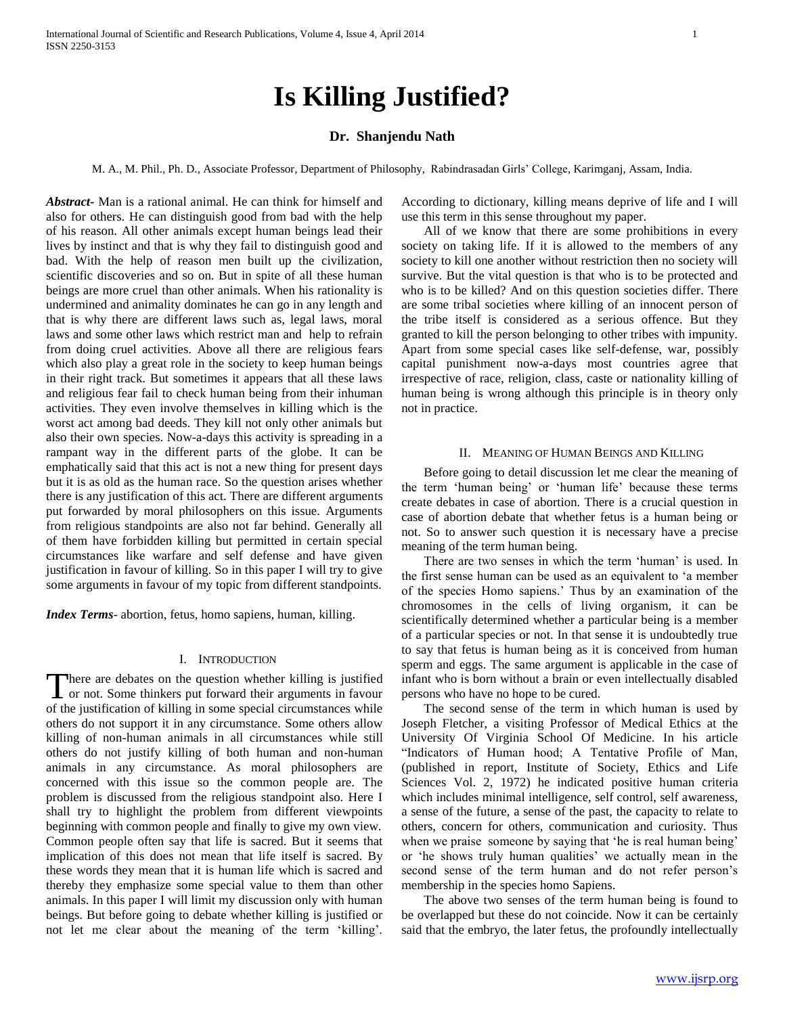# **Is Killing Justified?**

## **Dr. Shanjendu Nath**

M. A., M. Phil., Ph. D., Associate Professor, Department of Philosophy, Rabindrasadan Girls' College, Karimganj, Assam, India.

*Abstract***-** Man is a rational animal. He can think for himself and also for others. He can distinguish good from bad with the help of his reason. All other animals except human beings lead their lives by instinct and that is why they fail to distinguish good and bad. With the help of reason men built up the civilization, scientific discoveries and so on. But in spite of all these human beings are more cruel than other animals. When his rationality is undermined and animality dominates he can go in any length and that is why there are different laws such as, legal laws, moral laws and some other laws which restrict man and help to refrain from doing cruel activities. Above all there are religious fears which also play a great role in the society to keep human beings in their right track. But sometimes it appears that all these laws and religious fear fail to check human being from their inhuman activities. They even involve themselves in killing which is the worst act among bad deeds. They kill not only other animals but also their own species. Now-a-days this activity is spreading in a rampant way in the different parts of the globe. It can be emphatically said that this act is not a new thing for present days but it is as old as the human race. So the question arises whether there is any justification of this act. There are different arguments put forwarded by moral philosophers on this issue. Arguments from religious standpoints are also not far behind. Generally all of them have forbidden killing but permitted in certain special circumstances like warfare and self defense and have given justification in favour of killing. So in this paper I will try to give some arguments in favour of my topic from different standpoints.

*Index Terms*- abortion, fetus, homo sapiens, human, killing.

### I. INTRODUCTION

here are debates on the question whether killing is justified There are debates on the question whether killing is justified<br>or not. Some thinkers put forward their arguments in favour of the justification of killing in some special circumstances while others do not support it in any circumstance. Some others allow killing of non-human animals in all circumstances while still others do not justify killing of both human and non-human animals in any circumstance. As moral philosophers are concerned with this issue so the common people are. The problem is discussed from the religious standpoint also. Here I shall try to highlight the problem from different viewpoints beginning with common people and finally to give my own view. Common people often say that life is sacred. But it seems that implication of this does not mean that life itself is sacred. By these words they mean that it is human life which is sacred and thereby they emphasize some special value to them than other animals. In this paper I will limit my discussion only with human beings. But before going to debate whether killing is justified or not let me clear about the meaning of the term 'killing'.

According to dictionary, killing means deprive of life and I will use this term in this sense throughout my paper.

 All of we know that there are some prohibitions in every society on taking life. If it is allowed to the members of any society to kill one another without restriction then no society will survive. But the vital question is that who is to be protected and who is to be killed? And on this question societies differ. There are some tribal societies where killing of an innocent person of the tribe itself is considered as a serious offence. But they granted to kill the person belonging to other tribes with impunity. Apart from some special cases like self-defense, war, possibly capital punishment now-a-days most countries agree that irrespective of race, religion, class, caste or nationality killing of human being is wrong although this principle is in theory only not in practice.

#### II. MEANING OF HUMAN BEINGS AND KILLING

 Before going to detail discussion let me clear the meaning of the term 'human being' or 'human life' because these terms create debates in case of abortion. There is a crucial question in case of abortion debate that whether fetus is a human being or not. So to answer such question it is necessary have a precise meaning of the term human being.

 There are two senses in which the term 'human' is used. In the first sense human can be used as an equivalent to 'a member of the species Homo sapiens.' Thus by an examination of the chromosomes in the cells of living organism, it can be scientifically determined whether a particular being is a member of a particular species or not. In that sense it is undoubtedly true to say that fetus is human being as it is conceived from human sperm and eggs. The same argument is applicable in the case of infant who is born without a brain or even intellectually disabled persons who have no hope to be cured.

 The second sense of the term in which human is used by Joseph Fletcher, a visiting Professor of Medical Ethics at the University Of Virginia School Of Medicine. In his article "Indicators of Human hood; A Tentative Profile of Man, (published in report, Institute of Society, Ethics and Life Sciences Vol. 2, 1972) he indicated positive human criteria which includes minimal intelligence, self control, self awareness, a sense of the future, a sense of the past, the capacity to relate to others, concern for others, communication and curiosity. Thus when we praise someone by saying that 'he is real human being' or 'he shows truly human qualities' we actually mean in the second sense of the term human and do not refer person's membership in the species homo Sapiens.

 The above two senses of the term human being is found to be overlapped but these do not coincide. Now it can be certainly said that the embryo, the later fetus, the profoundly intellectually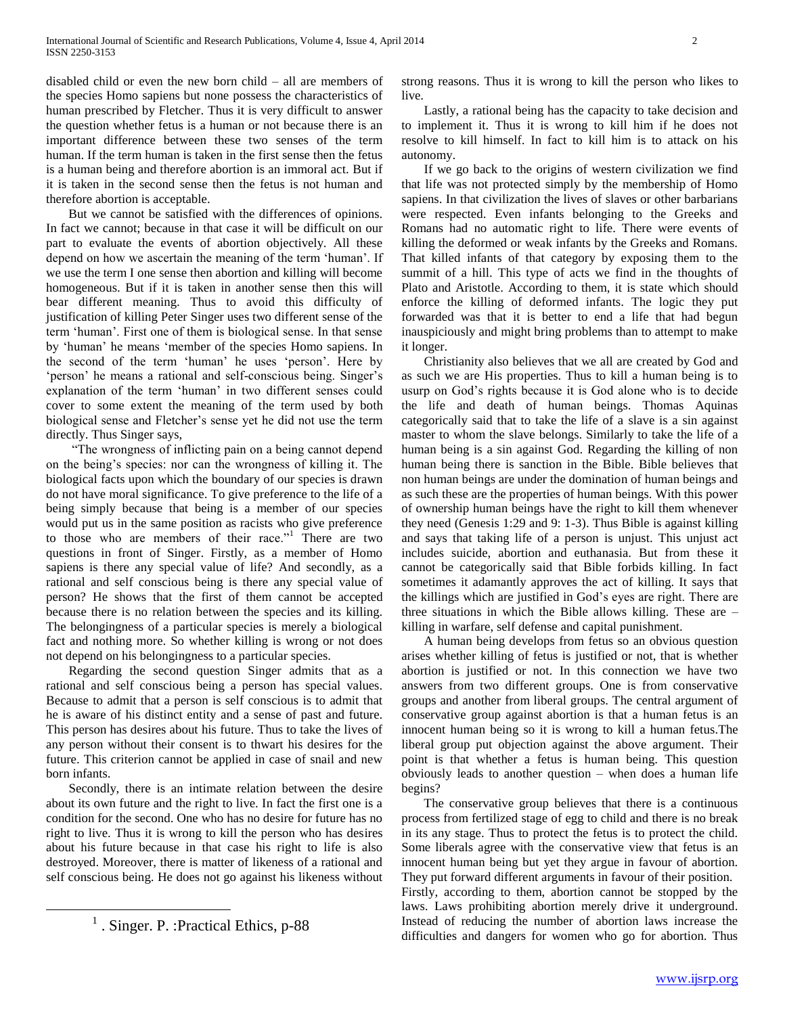disabled child or even the new born child – all are members of the species Homo sapiens but none possess the characteristics of human prescribed by Fletcher. Thus it is very difficult to answer the question whether fetus is a human or not because there is an important difference between these two senses of the term human. If the term human is taken in the first sense then the fetus is a human being and therefore abortion is an immoral act. But if it is taken in the second sense then the fetus is not human and therefore abortion is acceptable.

 But we cannot be satisfied with the differences of opinions. In fact we cannot; because in that case it will be difficult on our part to evaluate the events of abortion objectively. All these depend on how we ascertain the meaning of the term 'human'. If we use the term I one sense then abortion and killing will become homogeneous. But if it is taken in another sense then this will bear different meaning. Thus to avoid this difficulty of justification of killing Peter Singer uses two different sense of the term 'human'. First one of them is biological sense. In that sense by 'human' he means 'member of the species Homo sapiens. In the second of the term 'human' he uses 'person'. Here by 'person' he means a rational and self-conscious being. Singer's explanation of the term 'human' in two different senses could cover to some extent the meaning of the term used by both biological sense and Fletcher's sense yet he did not use the term directly. Thus Singer says,

 "The wrongness of inflicting pain on a being cannot depend on the being's species: nor can the wrongness of killing it. The biological facts upon which the boundary of our species is drawn do not have moral significance. To give preference to the life of a being simply because that being is a member of our species would put us in the same position as racists who give preference to those who are members of their race."<sup>1</sup> There are two questions in front of Singer. Firstly, as a member of Homo sapiens is there any special value of life? And secondly, as a rational and self conscious being is there any special value of person? He shows that the first of them cannot be accepted because there is no relation between the species and its killing. The belongingness of a particular species is merely a biological fact and nothing more. So whether killing is wrong or not does not depend on his belongingness to a particular species.

 Regarding the second question Singer admits that as a rational and self conscious being a person has special values. Because to admit that a person is self conscious is to admit that he is aware of his distinct entity and a sense of past and future. This person has desires about his future. Thus to take the lives of any person without their consent is to thwart his desires for the future. This criterion cannot be applied in case of snail and new born infants.

 Secondly, there is an intimate relation between the desire about its own future and the right to live. In fact the first one is a condition for the second. One who has no desire for future has no right to live. Thus it is wrong to kill the person who has desires about his future because in that case his right to life is also destroyed. Moreover, there is matter of likeness of a rational and self conscious being. He does not go against his likeness without

 $\overline{a}$ 

strong reasons. Thus it is wrong to kill the person who likes to live.

 Lastly, a rational being has the capacity to take decision and to implement it. Thus it is wrong to kill him if he does not resolve to kill himself. In fact to kill him is to attack on his autonomy.

 If we go back to the origins of western civilization we find that life was not protected simply by the membership of Homo sapiens. In that civilization the lives of slaves or other barbarians were respected. Even infants belonging to the Greeks and Romans had no automatic right to life. There were events of killing the deformed or weak infants by the Greeks and Romans. That killed infants of that category by exposing them to the summit of a hill. This type of acts we find in the thoughts of Plato and Aristotle. According to them, it is state which should enforce the killing of deformed infants. The logic they put forwarded was that it is better to end a life that had begun inauspiciously and might bring problems than to attempt to make it longer.

 Christianity also believes that we all are created by God and as such we are His properties. Thus to kill a human being is to usurp on God's rights because it is God alone who is to decide the life and death of human beings. Thomas Aquinas categorically said that to take the life of a slave is a sin against master to whom the slave belongs. Similarly to take the life of a human being is a sin against God. Regarding the killing of non human being there is sanction in the Bible. Bible believes that non human beings are under the domination of human beings and as such these are the properties of human beings. With this power of ownership human beings have the right to kill them whenever they need (Genesis 1:29 and 9: 1-3). Thus Bible is against killing and says that taking life of a person is unjust. This unjust act includes suicide, abortion and euthanasia. But from these it cannot be categorically said that Bible forbids killing. In fact sometimes it adamantly approves the act of killing. It says that the killings which are justified in God's eyes are right. There are three situations in which the Bible allows killing. These are – killing in warfare, self defense and capital punishment.

 A human being develops from fetus so an obvious question arises whether killing of fetus is justified or not, that is whether abortion is justified or not. In this connection we have two answers from two different groups. One is from conservative groups and another from liberal groups. The central argument of conservative group against abortion is that a human fetus is an innocent human being so it is wrong to kill a human fetus.The liberal group put objection against the above argument. Their point is that whether a fetus is human being. This question obviously leads to another question – when does a human life begins?

 The conservative group believes that there is a continuous process from fertilized stage of egg to child and there is no break in its any stage. Thus to protect the fetus is to protect the child. Some liberals agree with the conservative view that fetus is an innocent human being but yet they argue in favour of abortion. They put forward different arguments in favour of their position. Firstly, according to them, abortion cannot be stopped by the laws. Laws prohibiting abortion merely drive it underground. Instead of reducing the number of abortion laws increase the difficulties and dangers for women who go for abortion. Thus

<sup>&</sup>lt;sup>1</sup>. Singer. P. : Practical Ethics, p-88